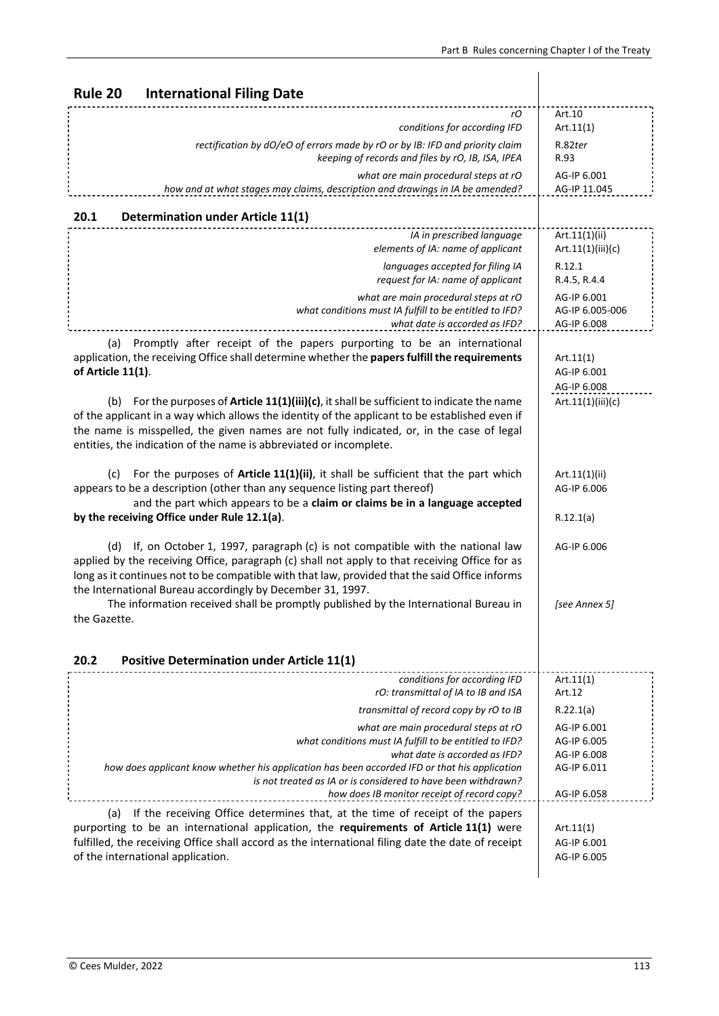| Rule 20<br><b>International Filing Date</b>                                                                                                                                                                                                                                                                                                                        |                                                          |
|--------------------------------------------------------------------------------------------------------------------------------------------------------------------------------------------------------------------------------------------------------------------------------------------------------------------------------------------------------------------|----------------------------------------------------------|
| rО<br>conditions for according IFD                                                                                                                                                                                                                                                                                                                                 | Art.10<br>Art.11(1)                                      |
| rectification by dO/eO of errors made by rO or by IB: IFD and priority claim<br>keeping of records and files by rO, IB, ISA, IPEA                                                                                                                                                                                                                                  | R.82ter<br>R.93                                          |
| what are main procedural steps at rO<br>how and at what stages may claims, description and drawings in IA be amended?                                                                                                                                                                                                                                              | AG-IP 6.001<br>AG-IP 11.045                              |
| 20.1<br><b>Determination under Article 11(1)</b>                                                                                                                                                                                                                                                                                                                   |                                                          |
| IA in prescribed language<br>elements of IA: name of applicant                                                                                                                                                                                                                                                                                                     | Art.11(1)(ii)<br>Art.11(1)(iii)(c)                       |
| languages accepted for filing IA<br>request for IA: name of applicant                                                                                                                                                                                                                                                                                              | R.12.1<br>R.4.5, R.4.4                                   |
| what are main procedural steps at rO<br>what conditions must IA fulfill to be entitled to IFD?<br>what date is accorded as IFD?                                                                                                                                                                                                                                    | AG-IP 6.001<br>AG-IP 6.005-006<br>AG-IP 6.008            |
| Promptly after receipt of the papers purporting to be an international<br>(a)<br>application, the receiving Office shall determine whether the papers fulfill the requirements<br>of Article 11(1).                                                                                                                                                                | Art.11(1)<br>AG-IP 6.001<br>AG-IP 6.008                  |
| For the purposes of Article 11(1)(iii)(c), it shall be sufficient to indicate the name<br>(b)<br>of the applicant in a way which allows the identity of the applicant to be established even if<br>the name is misspelled, the given names are not fully indicated, or, in the case of legal<br>entities, the indication of the name is abbreviated or incomplete. | Art.11(1)(iii)(c)                                        |
| For the purposes of Article 11(1)(ii), it shall be sufficient that the part which<br>(c)<br>appears to be a description (other than any sequence listing part thereof)<br>and the part which appears to be a claim or claims be in a language accepted                                                                                                             | Art.11(1)(ii)<br>AG-IP 6.006                             |
| by the receiving Office under Rule 12.1(a).                                                                                                                                                                                                                                                                                                                        | R.12.1(a)                                                |
| If, on October 1, 1997, paragraph (c) is not compatible with the national law<br>(d)<br>applied by the receiving Office, paragraph (c) shall not apply to that receiving Office for as<br>long as it continues not to be compatible with that law, provided that the said Office informs<br>the International Bureau accordingly by December 31, 1997.             | AG-IP 6.006                                              |
| The information received shall be promptly published by the International Bureau in<br>the Gazette.                                                                                                                                                                                                                                                                | [see Annex 5]                                            |
|                                                                                                                                                                                                                                                                                                                                                                    |                                                          |
| 20.2<br><b>Positive Determination under Article 11(1)</b>                                                                                                                                                                                                                                                                                                          |                                                          |
| conditions for according IFD<br>rO: transmittal of IA to IB and ISA                                                                                                                                                                                                                                                                                                | Art.11(1)<br>Art.12                                      |
| transmittal of record copy by rO to IB                                                                                                                                                                                                                                                                                                                             | R.22.1(a)                                                |
| what are main procedural steps at rO<br>what conditions must IA fulfill to be entitled to IFD?<br>what date is accorded as IFD?<br>how does applicant know whether his application has been accorded IFD or that his application                                                                                                                                   | AG-IP 6.001<br>AG-IP 6.005<br>AG-IP 6.008<br>AG-IP 6.011 |
| is not treated as IA or is considered to have been withdrawn?<br>how does IB monitor receipt of record copy?                                                                                                                                                                                                                                                       | AG-IP 6.058                                              |
| If the receiving Office determines that, at the time of receipt of the papers<br>(a)<br>purporting to be an international application, the requirements of Article 11(1) were<br>fulfilled, the receiving Office shall accord as the international filing date the date of receipt<br>of the international application.                                            | Art.11(1)<br>AG-IP 6.001<br>AG-IP 6.005                  |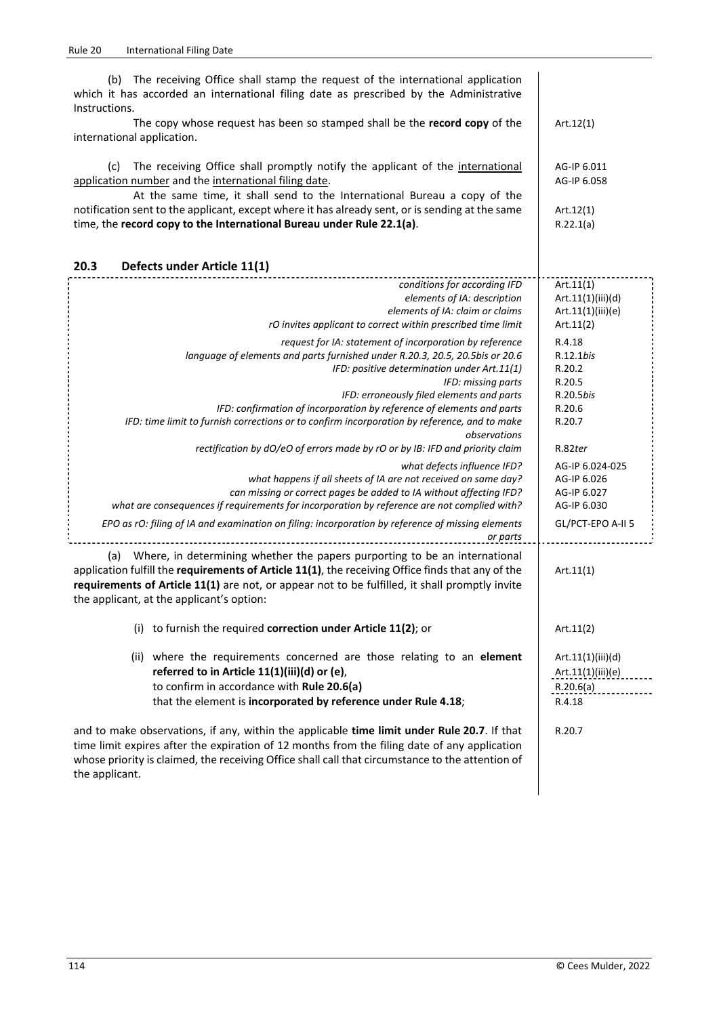| The receiving Office shall stamp the request of the international application<br>(b)<br>which it has accorded an international filing date as prescribed by the Administrative<br>Instructions.                                                                                                                                                                                                                                                    |                                                                          |
|----------------------------------------------------------------------------------------------------------------------------------------------------------------------------------------------------------------------------------------------------------------------------------------------------------------------------------------------------------------------------------------------------------------------------------------------------|--------------------------------------------------------------------------|
| The copy whose request has been so stamped shall be the record copy of the<br>international application.                                                                                                                                                                                                                                                                                                                                           | Art. $12(1)$                                                             |
| The receiving Office shall promptly notify the applicant of the international<br>(c)<br>application number and the international filing date.<br>At the same time, it shall send to the International Bureau a copy of the<br>notification sent to the applicant, except where it has already sent, or is sending at the same<br>time, the record copy to the International Bureau under Rule 22.1(a).                                             | AG-IP 6.011<br>AG-IP 6.058<br>Art.12(1)<br>R.22.1(a)                     |
| 20.3<br>Defects under Article 11(1)                                                                                                                                                                                                                                                                                                                                                                                                                |                                                                          |
| conditions for according IFD<br>elements of IA: description<br>elements of IA: claim or claims<br>rO invites applicant to correct within prescribed time limit                                                                                                                                                                                                                                                                                     | Art.11(1)<br>Art.11(1)(iii)(d)<br>Art.11(1)(iii)(e)<br>Art. $11(2)$      |
| request for IA: statement of incorporation by reference<br>language of elements and parts furnished under R.20.3, 20.5, 20.5bis or 20.6<br>IFD: positive determination under Art.11(1)<br>IFD: missing parts<br>IFD: erroneously filed elements and parts<br>IFD: confirmation of incorporation by reference of elements and parts<br>IFD: time limit to furnish corrections or to confirm incorporation by reference, and to make<br>observations | R.4.18<br>R.12.1bis<br>R.20.2<br>R.20.5<br>R.20.5bis<br>R.20.6<br>R.20.7 |
| rectification by dO/eO of errors made by rO or by IB: IFD and priority claim                                                                                                                                                                                                                                                                                                                                                                       | R.82ter                                                                  |
| what defects influence IFD?<br>what happens if all sheets of IA are not received on same day?<br>can missing or correct pages be added to IA without affecting IFD?<br>what are consequences if requirements for incorporation by reference are not complied with?                                                                                                                                                                                 | AG-IP 6.024-025<br>AG-IP 6.026<br>AG-IP 6.027<br>AG-IP 6.030             |
| EPO as rO: filing of IA and examination on filing: incorporation by reference of missing elements<br>or parts                                                                                                                                                                                                                                                                                                                                      | GL/PCT-EPO A-II 5                                                        |
| Where, in determining whether the papers purporting to be an international<br>(a)<br>application fulfill the requirements of Article 11(1), the receiving Office finds that any of the<br>requirements of Article 11(1) are not, or appear not to be fulfilled, it shall promptly invite<br>the applicant, at the applicant's option:                                                                                                              | Art.11(1)                                                                |
| (i) to furnish the required correction under Article 11(2); or                                                                                                                                                                                                                                                                                                                                                                                     | Art. $11(2)$                                                             |
| (ii) where the requirements concerned are those relating to an element<br>referred to in Article 11(1)(iii)(d) or (e),<br>to confirm in accordance with Rule 20.6(a)<br>that the element is incorporated by reference under Rule 4.18;                                                                                                                                                                                                             | Art.11(1)(iii)(d)<br>Art.11(1)(iii)(e)<br>R.20.6(a)<br>R.4.18            |
| and to make observations, if any, within the applicable time limit under Rule 20.7. If that<br>time limit expires after the expiration of 12 months from the filing date of any application<br>whose priority is claimed, the receiving Office shall call that circumstance to the attention of                                                                                                                                                    | R.20.7                                                                   |

the applicant.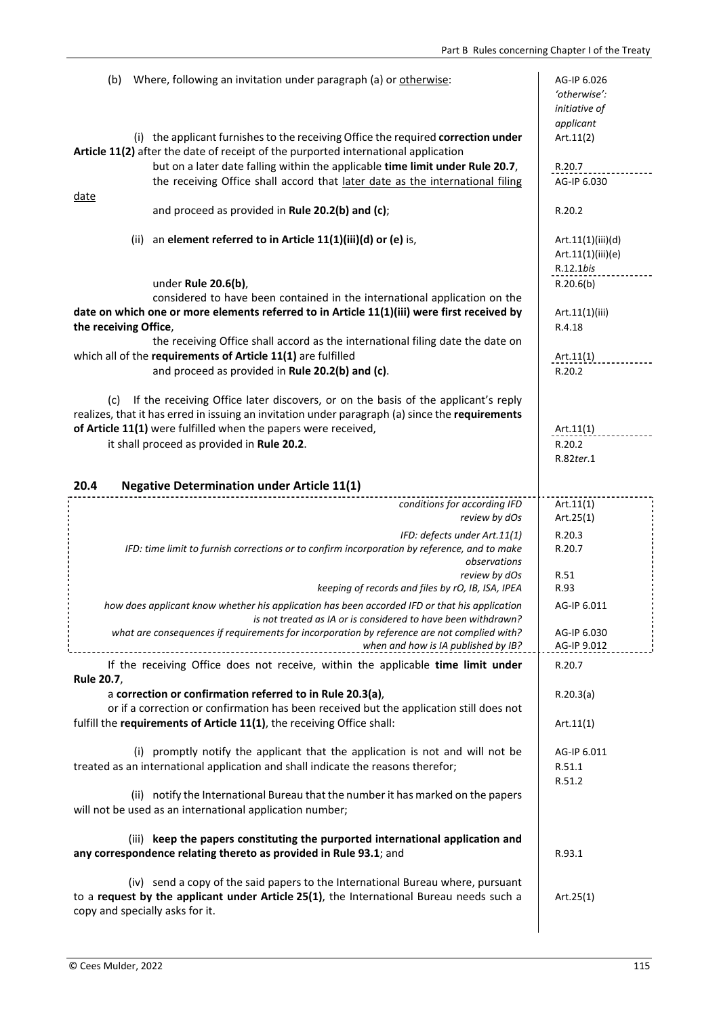| Where, following an invitation under paragraph (a) or otherwise:<br>(b)                                                                                                                                        | AG-IP 6.026<br>'otherwise':<br>initiative of<br>applicant |
|----------------------------------------------------------------------------------------------------------------------------------------------------------------------------------------------------------------|-----------------------------------------------------------|
| (i) the applicant furnishes to the receiving Office the required correction under<br>Article 11(2) after the date of receipt of the purported international application                                        | Art.11(2)                                                 |
| but on a later date falling within the applicable time limit under Rule 20.7,<br>the receiving Office shall accord that later date as the international filing<br><u>date</u>                                  | R.20.7<br>AG-IP 6.030                                     |
| and proceed as provided in Rule 20.2(b) and (c);                                                                                                                                                               | R.20.2                                                    |
| an element referred to in Article 11(1)(iii)(d) or (e) is,<br>(ii)                                                                                                                                             | Art.11(1)(iii)(d)<br>Art.11(1)(iii)(e)                    |
| under Rule 20.6(b),                                                                                                                                                                                            | R.12.1bis<br>R.20.6(b)                                    |
| considered to have been contained in the international application on the<br>date on which one or more elements referred to in Article 11(1)(iii) were first received by<br>the receiving Office,              | Art.11(1)(iii)<br>R.4.18                                  |
| the receiving Office shall accord as the international filing date the date on                                                                                                                                 |                                                           |
| which all of the requirements of Article 11(1) are fulfilled<br>and proceed as provided in Rule 20.2(b) and (c).                                                                                               | Art.11(1)<br>R.20.2                                       |
| If the receiving Office later discovers, or on the basis of the applicant's reply<br>(c)<br>realizes, that it has erred in issuing an invitation under paragraph (a) since the requirements                    |                                                           |
| of Article 11(1) were fulfilled when the papers were received,<br>it shall proceed as provided in Rule 20.2.                                                                                                   | Art.11(1)<br>R.20.2                                       |
|                                                                                                                                                                                                                | R.82ter.1                                                 |
| <b>Negative Determination under Article 11(1)</b><br>20.4                                                                                                                                                      |                                                           |
| conditions for according IFD<br>review by dOs                                                                                                                                                                  | Art.11(1)<br>Art. $25(1)$                                 |
| IFD: defects under Art.11(1)<br>IFD: time limit to furnish corrections or to confirm incorporation by reference, and to make<br>observations<br>review by dOs                                                  | R.20.3<br>R.20.7<br>R.51                                  |
| keeping of records and files by rO, IB, ISA, IPEA                                                                                                                                                              | R.93                                                      |
| how does applicant know whether his application has been accorded IFD or that his application<br>is not treated as IA or is considered to have been withdrawn?                                                 | AG-IP 6.011                                               |
| what are consequences if requirements for incorporation by reference are not complied with?<br>when and how is IA published by IB?                                                                             | AG-IP 6.030<br>AG-IP 9.012                                |
| If the receiving Office does not receive, within the applicable time limit under<br>Rule 20.7,                                                                                                                 | R.20.7                                                    |
| a correction or confirmation referred to in Rule 20.3(a),<br>or if a correction or confirmation has been received but the application still does not                                                           | R.20.3(a)                                                 |
| fulfill the requirements of Article 11(1), the receiving Office shall:                                                                                                                                         | Art.11(1)                                                 |
| (i) promptly notify the applicant that the application is not and will not be<br>treated as an international application and shall indicate the reasons therefor;                                              | AG-IP 6.011<br>R.51.1<br>R.51.2                           |
| (ii) notify the International Bureau that the number it has marked on the papers<br>will not be used as an international application number;                                                                   |                                                           |
| (iii) keep the papers constituting the purported international application and<br>any correspondence relating thereto as provided in Rule 93.1; and                                                            | R.93.1                                                    |
| (iv) send a copy of the said papers to the International Bureau where, pursuant<br>to a request by the applicant under Article 25(1), the International Bureau needs such a<br>copy and specially asks for it. | Art. $25(1)$                                              |
|                                                                                                                                                                                                                |                                                           |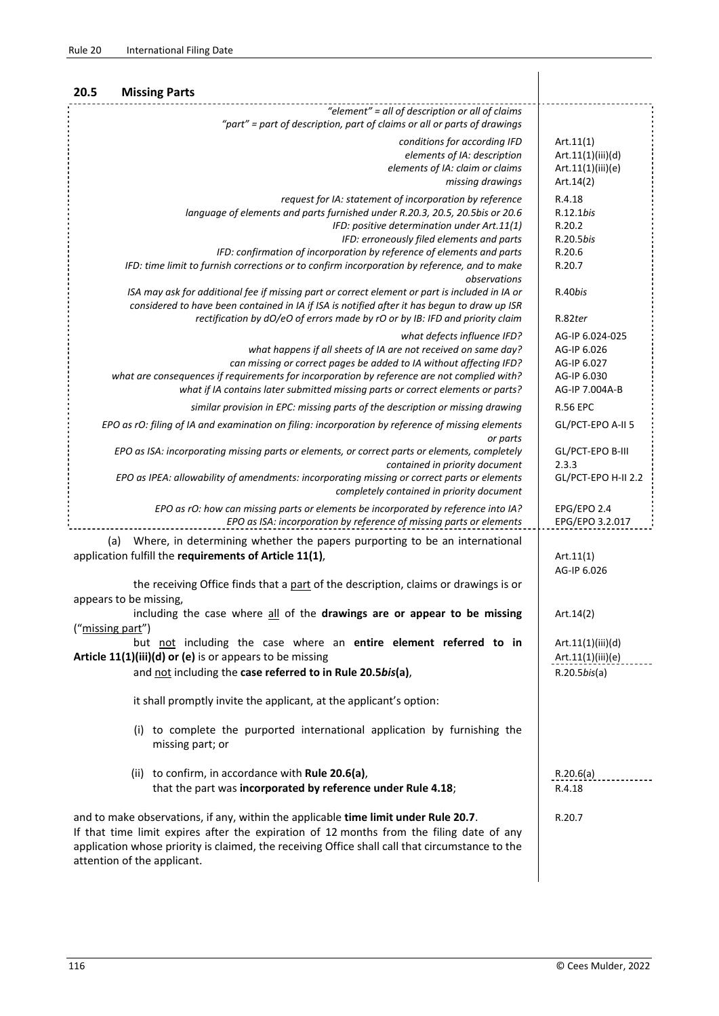| 20.5<br><b>Missing Parts</b>                                                                                                                                                                                                                                                                                                                                                                                                 |                                                                                |
|------------------------------------------------------------------------------------------------------------------------------------------------------------------------------------------------------------------------------------------------------------------------------------------------------------------------------------------------------------------------------------------------------------------------------|--------------------------------------------------------------------------------|
| "element" = all of description or all of claims<br>"part" = part of description, part of claims or all or parts of drawings                                                                                                                                                                                                                                                                                                  |                                                                                |
| conditions for according IFD<br>elements of IA: description<br>elements of IA: claim or claims<br>missing drawings                                                                                                                                                                                                                                                                                                           | Art.11(1)<br>Art.11(1)(iii)(d)<br>Art.11(1)(iii)(e)<br>Art.14(2)               |
| request for IA: statement of incorporation by reference<br>language of elements and parts furnished under R.20.3, 20.5, 20.5bis or 20.6<br>IFD: positive determination under Art.11(1)<br>IFD: erroneously filed elements and parts<br>IFD: confirmation of incorporation by reference of elements and parts<br>IFD: time limit to furnish corrections or to confirm incorporation by reference, and to make<br>observations | R.4.18<br>R.12.1bis<br>R.20.2<br>R.20.5bis<br>R.20.6<br>R.20.7                 |
| ISA may ask for additional fee if missing part or correct element or part is included in IA or<br>considered to have been contained in IA if ISA is notified after it has begun to draw up ISR<br>rectification by dO/eO of errors made by rO or by IB: IFD and priority claim                                                                                                                                               | R.40bis<br>R.82ter                                                             |
| what defects influence IFD?<br>what happens if all sheets of IA are not received on same day?<br>can missing or correct pages be added to IA without affecting IFD?<br>what are consequences if requirements for incorporation by reference are not complied with?<br>what if IA contains later submitted missing parts or correct elements or parts?                                                                        | AG-IP 6.024-025<br>AG-IP 6.026<br>AG-IP 6.027<br>AG-IP 6.030<br>AG-IP 7.004A-B |
| similar provision in EPC: missing parts of the description or missing drawing                                                                                                                                                                                                                                                                                                                                                | <b>R.56 EPC</b>                                                                |
| EPO as rO: filing of IA and examination on filing: incorporation by reference of missing elements                                                                                                                                                                                                                                                                                                                            | GL/PCT-EPO A-II 5                                                              |
| or parts<br>EPO as ISA: incorporating missing parts or elements, or correct parts or elements, completely<br>contained in priority document                                                                                                                                                                                                                                                                                  | GL/PCT-EPO B-III<br>2.3.3                                                      |
| EPO as IPEA: allowability of amendments: incorporating missing or correct parts or elements<br>completely contained in priority document                                                                                                                                                                                                                                                                                     | GL/PCT-EPO H-II 2.2                                                            |
| EPO as rO: how can missing parts or elements be incorporated by reference into IA?<br>EPO as ISA: incorporation by reference of missing parts or elements                                                                                                                                                                                                                                                                    | EPG/EPO 2.4<br>EPG/EPO 3.2.017                                                 |
| Where, in determining whether the papers purporting to be an international<br>(a)<br>application fulfill the requirements of Article 11(1),                                                                                                                                                                                                                                                                                  | Art.11(1)<br>AG-IP 6.026                                                       |
| the receiving Office finds that a part of the description, claims or drawings is or<br>appears to be missing,                                                                                                                                                                                                                                                                                                                |                                                                                |
| including the case where all of the drawings are or appear to be missing<br>("missing part")                                                                                                                                                                                                                                                                                                                                 | Art.14(2)                                                                      |
| but not including the case where an entire element referred to in<br>Article 11(1)(iii)(d) or (e) is or appears to be missing<br>and not including the case referred to in Rule 20.5bis(a),                                                                                                                                                                                                                                  | Art.11(1)(iii)(d)<br>Art.11(1)(iii)(e)<br>$R.20.5$ bis(a)                      |
| it shall promptly invite the applicant, at the applicant's option:                                                                                                                                                                                                                                                                                                                                                           |                                                                                |
| (i) to complete the purported international application by furnishing the<br>missing part; or                                                                                                                                                                                                                                                                                                                                |                                                                                |
| (ii) to confirm, in accordance with Rule 20.6(a),<br>that the part was incorporated by reference under Rule 4.18;                                                                                                                                                                                                                                                                                                            | R.20.6(a)<br>R.4.18                                                            |
| and to make observations, if any, within the applicable time limit under Rule 20.7.<br>If that time limit expires after the expiration of 12 months from the filing date of any<br>application whose priority is claimed, the receiving Office shall call that circumstance to the<br>attention of the applicant.                                                                                                            | R.20.7                                                                         |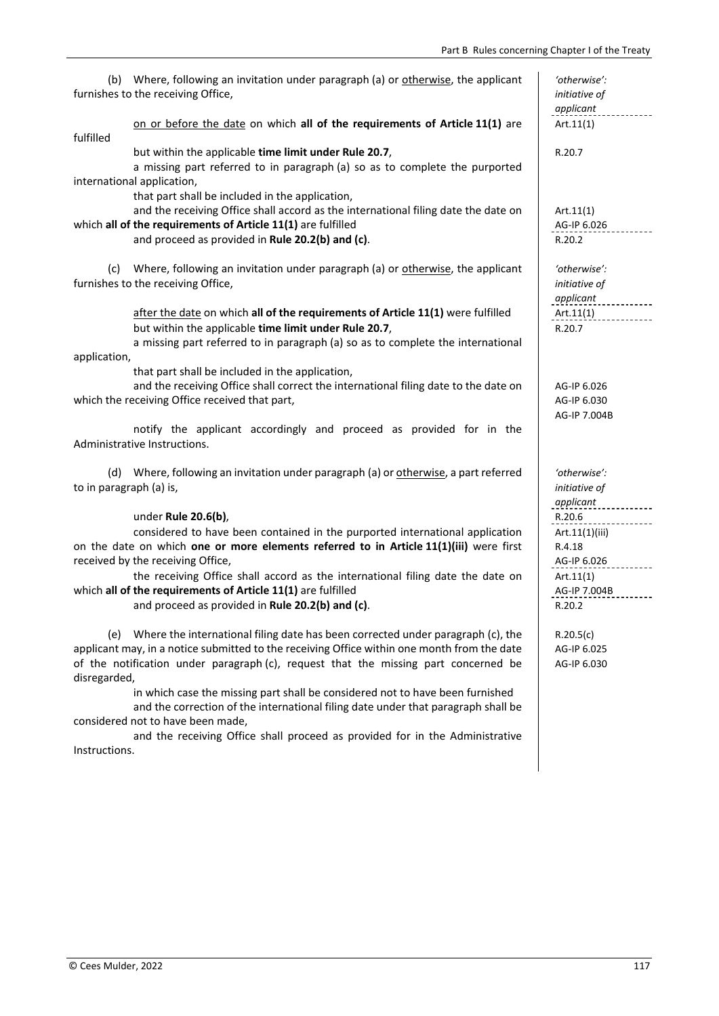| Part B Rules concerning Chapter I of the Treaty                                                                                                                                                                                                                                                                                                                                                                                                                                                                                                                                                          |                                                                                          |
|----------------------------------------------------------------------------------------------------------------------------------------------------------------------------------------------------------------------------------------------------------------------------------------------------------------------------------------------------------------------------------------------------------------------------------------------------------------------------------------------------------------------------------------------------------------------------------------------------------|------------------------------------------------------------------------------------------|
| Where, following an invitation under paragraph (a) or otherwise, the applicant<br>(b)<br>furnishes to the receiving Office,                                                                                                                                                                                                                                                                                                                                                                                                                                                                              | 'otherwise':<br>initiative of<br>applicant                                               |
| on or before the date on which all of the requirements of Article 11(1) are<br>fulfilled                                                                                                                                                                                                                                                                                                                                                                                                                                                                                                                 | Art.11(1)                                                                                |
| but within the applicable time limit under Rule 20.7,<br>a missing part referred to in paragraph (a) so as to complete the purported<br>international application,<br>that part shall be included in the application,                                                                                                                                                                                                                                                                                                                                                                                    | R.20.7                                                                                   |
| and the receiving Office shall accord as the international filing date the date on<br>which all of the requirements of Article 11(1) are fulfilled<br>and proceed as provided in Rule 20.2(b) and (c).                                                                                                                                                                                                                                                                                                                                                                                                   | Art.11(1)<br>AG-IP 6.026<br>R.20.2                                                       |
| Where, following an invitation under paragraph (a) or otherwise, the applicant<br>(c)<br>furnishes to the receiving Office,                                                                                                                                                                                                                                                                                                                                                                                                                                                                              | 'otherwise':<br>initiative of<br>applicant                                               |
| after the date on which all of the requirements of Article 11(1) were fulfilled<br>but within the applicable time limit under Rule 20.7,<br>a missing part referred to in paragraph (a) so as to complete the international<br>application,                                                                                                                                                                                                                                                                                                                                                              | Art.11(1)<br>R.20.7                                                                      |
| that part shall be included in the application,<br>and the receiving Office shall correct the international filing date to the date on<br>which the receiving Office received that part,                                                                                                                                                                                                                                                                                                                                                                                                                 | AG-IP 6.026<br>AG-IP 6.030<br>AG-IP 7.004B                                               |
| notify the applicant accordingly and proceed as provided for in the<br>Administrative Instructions.                                                                                                                                                                                                                                                                                                                                                                                                                                                                                                      |                                                                                          |
| (d) Where, following an invitation under paragraph (a) or otherwise, a part referred<br>to in paragraph (a) is,                                                                                                                                                                                                                                                                                                                                                                                                                                                                                          | 'otherwise':<br>initiative of<br>applicant                                               |
| under Rule 20.6(b),<br>considered to have been contained in the purported international application<br>on the date on which one or more elements referred to in Article 11(1)(iii) were first<br>received by the receiving Office,<br>the receiving Office shall accord as the international filing date the date on<br>which all of the requirements of Article 11(1) are fulfilled<br>and proceed as provided in Rule 20.2(b) and (c).                                                                                                                                                                 | R.20.6<br>Art.11(1)(iii)<br>R.4.18<br>AG-IP 6.026<br>Art.11(1)<br>AG-IP 7.004B<br>R.20.2 |
| Where the international filing date has been corrected under paragraph (c), the<br>(e)<br>applicant may, in a notice submitted to the receiving Office within one month from the date<br>of the notification under paragraph (c), request that the missing part concerned be<br>disregarded,<br>in which case the missing part shall be considered not to have been furnished<br>and the correction of the international filing date under that paragraph shall be<br>considered not to have been made,<br>and the receiving Office shall proceed as provided for in the Administrative<br>Instructions. | R.20.5(c)<br>AG-IP 6.025<br>AG-IP 6.030                                                  |
|                                                                                                                                                                                                                                                                                                                                                                                                                                                                                                                                                                                                          |                                                                                          |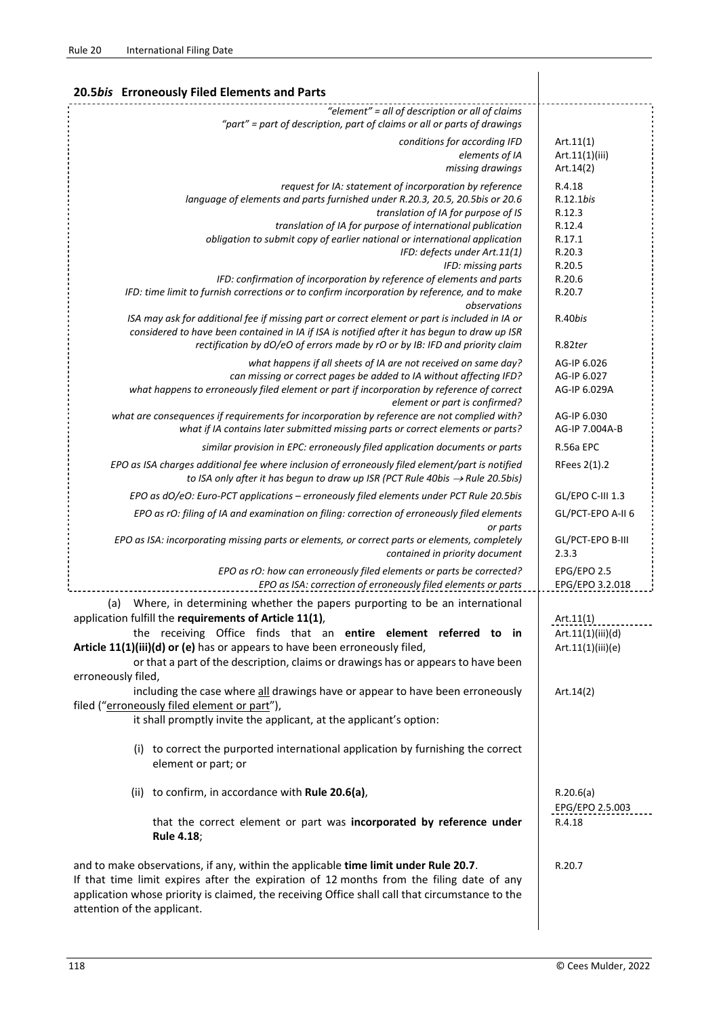| 20.5bis Erroneously Filed Elements and Parts                                                                                                                                                                                                                                                                      |                                            |
|-------------------------------------------------------------------------------------------------------------------------------------------------------------------------------------------------------------------------------------------------------------------------------------------------------------------|--------------------------------------------|
| "element" = all of description or all of claims<br>"part" = part of description, part of claims or all or parts of drawings                                                                                                                                                                                       |                                            |
| conditions for according IFD<br>elements of IA                                                                                                                                                                                                                                                                    | Art.11(1)<br>Art.11(1)(iii)                |
| missing drawings                                                                                                                                                                                                                                                                                                  | Art.14(2)                                  |
| request for IA: statement of incorporation by reference<br>language of elements and parts furnished under R.20.3, 20.5, 20.5bis or 20.6<br>translation of IA for purpose of IS                                                                                                                                    | R.4.18<br>R.12.1bis<br>R.12.3              |
| translation of IA for purpose of international publication                                                                                                                                                                                                                                                        | R.12.4                                     |
| obligation to submit copy of earlier national or international application<br>IFD: defects under Art.11(1)<br>IFD: missing parts                                                                                                                                                                                  | R.17.1<br>R.20.3<br>R.20.5                 |
| IFD: confirmation of incorporation by reference of elements and parts<br>IFD: time limit to furnish corrections or to confirm incorporation by reference, and to make<br>observations                                                                                                                             | R.20.6<br>R.20.7                           |
| ISA may ask for additional fee if missing part or correct element or part is included in IA or<br>considered to have been contained in IA if ISA is notified after it has begun to draw up ISR                                                                                                                    | R.40bis                                    |
| rectification by dO/eO of errors made by rO or by IB: IFD and priority claim                                                                                                                                                                                                                                      | R.82ter                                    |
| what happens if all sheets of IA are not received on same day?<br>can missing or correct pages be added to IA without affecting IFD?<br>what happens to erroneously filed element or part if incorporation by reference of correct<br>element or part is confirmed?                                               | AG-IP 6.026<br>AG-IP 6.027<br>AG-IP 6.029A |
| what are consequences if requirements for incorporation by reference are not complied with?<br>what if IA contains later submitted missing parts or correct elements or parts?                                                                                                                                    | AG-IP 6.030<br>AG-IP 7.004A-B              |
| similar provision in EPC: erroneously filed application documents or parts                                                                                                                                                                                                                                        | R.56a EPC                                  |
| EPO as ISA charges additional fee where inclusion of erroneously filed element/part is notified<br>to ISA only after it has begun to draw up ISR (PCT Rule 40bis $\rightarrow$ Rule 20.5bis)                                                                                                                      | RFees 2(1).2                               |
| EPO as dO/eO: Euro-PCT applications - erroneously filed elements under PCT Rule 20.5bis                                                                                                                                                                                                                           | GL/EPO C-III 1.3                           |
| EPO as rO: filing of IA and examination on filing: correction of erroneously filed elements<br>or parts                                                                                                                                                                                                           | GL/PCT-EPO A-II 6                          |
| EPO as ISA: incorporating missing parts or elements, or correct parts or elements, completely<br>contained in priority document                                                                                                                                                                                   | GL/PCT-EPO B-III<br>2.3.3                  |
| EPO as rO: how can erroneously filed elements or parts be corrected?<br>EPO as ISA: correction of erroneously filed elements or parts                                                                                                                                                                             | EPG/EPO 2.5<br>EPG/EPO 3.2.018             |
| Where, in determining whether the papers purporting to be an international<br>(a)<br>application fulfill the requirements of Article 11(1),                                                                                                                                                                       | Art.11(1)                                  |
| the receiving Office finds that an entire element referred to in                                                                                                                                                                                                                                                  | Art.11(1)(iii)(d)                          |
| Article 11(1)(iii)(d) or (e) has or appears to have been erroneously filed,<br>or that a part of the description, claims or drawings has or appears to have been<br>erroneously filed,                                                                                                                            | Art.11(1)(iii)(e)                          |
| including the case where all drawings have or appear to have been erroneously<br>filed ("erroneously filed element or part"),                                                                                                                                                                                     | Art.14(2)                                  |
| it shall promptly invite the applicant, at the applicant's option:                                                                                                                                                                                                                                                |                                            |
| (i) to correct the purported international application by furnishing the correct<br>element or part; or                                                                                                                                                                                                           |                                            |
| (ii) to confirm, in accordance with Rule 20.6(a),                                                                                                                                                                                                                                                                 | R.20.6(a)<br>EPG/EPO 2.5.003               |
| that the correct element or part was incorporated by reference under<br><b>Rule 4.18;</b>                                                                                                                                                                                                                         | R.4.18                                     |
| and to make observations, if any, within the applicable time limit under Rule 20.7.<br>If that time limit expires after the expiration of 12 months from the filing date of any<br>application whose priority is claimed, the receiving Office shall call that circumstance to the<br>attention of the applicant. | R.20.7                                     |

 $\overline{\phantom{a}}$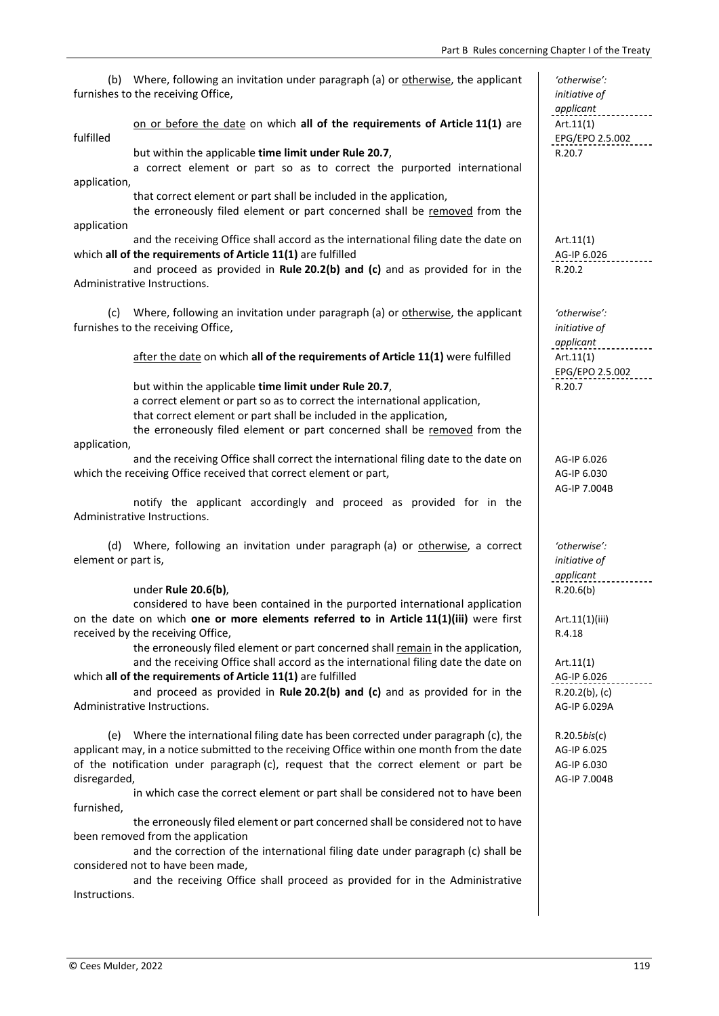$\mathcal{A}$ 

 $\mathcal{A}$ 

 $\mathcal{A}$ 

 $\mathcal{A}$ 

 $\mathcal{A}$ 

 $\mathcal{A}$ 

 $\mathcal{A}$ 

 $\mathcal{A}$ 

 $\mathcal{A}$ 

(b) Where, following an invitation under paragraph (a) or otherwise, the applicant furnishes to the receiving Office,

## on or before the date on which **all of the requirements of Article 11(1)** are fulfilled

but within the applicable **time limit under Rule 20.7**, R.20.7

 a correct element or part so as to correct the purported international application,

that correct element or part shall be included in the application,

 the erroneously filed element or part concerned shall be removed from the application

 and the receiving Office shall accord as the international filing date the date on which **all of the requirements of Article 11(1)** are fulfilled

 and proceed as provided in **Rule 20.2(b) and (c)** and as provided for in the Administrative Instructions.

(c) Where, following an invitation under paragraph (a) or otherwise, the applicant furnishes to the receiving Office,

after the date on which **all of the requirements of Article 11(1)** were fulfilled Art.11(1)

but within the applicable **time limit under Rule 20.7**, R.20.7

a correct element or part so as to correct the international application,

that correct element or part shall be included in the application,

 the erroneously filed element or part concerned shall be removed from the application,

 and the receiving Office shall correct the international filing date to the date on which the receiving Office received that correct element or part,

 notify the applicant accordingly and proceed as provided for in the Administrative Instructions.

(d) Where, following an invitation under paragraph (a) or otherwise, a correct element or part is,

under **Rule 20.6(b)**,  $\vert$  **R.20.6(b)** 

 considered to have been contained in the purported international application on the date on which **one or more elements referred to in Article 11(1)(iii)** were first received by the receiving Office,

 the erroneously filed element or part concerned shall remain in the application, and the receiving Office shall accord as the international filing date the date on which **all of the requirements of Article 11(1)** are fulfilled

 and proceed as provided in **Rule 20.2(b) and (c)** and as provided for in the Administrative Instructions.

(e) Where the international filing date has been corrected under paragraph (c), the applicant may, in a notice submitted to the receiving Office within one month from the date of the notification under paragraph (c), request that the correct element or part be disregarded,

 in which case the correct element or part shall be considered not to have been furnished,

 the erroneously filed element or part concerned shall be considered not to have been removed from the application

 and the correction of the international filing date under paragraph (c) shall be considered not to have been made,

 and the receiving Office shall proceed as provided for in the Administrative Instructions.

 *'otherwise': initiative of applicant* Art.11(1) EPG/EPO 2.5.002

 Art.11(1) AG-IP 6.026 R.20.2

 *'otherwise': initiative of applicant* EPG/EPO 2.5.002

 AG‐IP 6.026 AG‐IP 6.030 AG‐IP 7.004B

 *'otherwise': initiative of applicant*

Art.11(1)(iii) R.4.18

 Art.11(1) AG-IP 6.026 R.20.2(b), (c) AG‐IP 6.029A

 R.20.5*bis*(c) AG‐IP 6.025 AG‐IP 6.030 AG‐IP 7.004B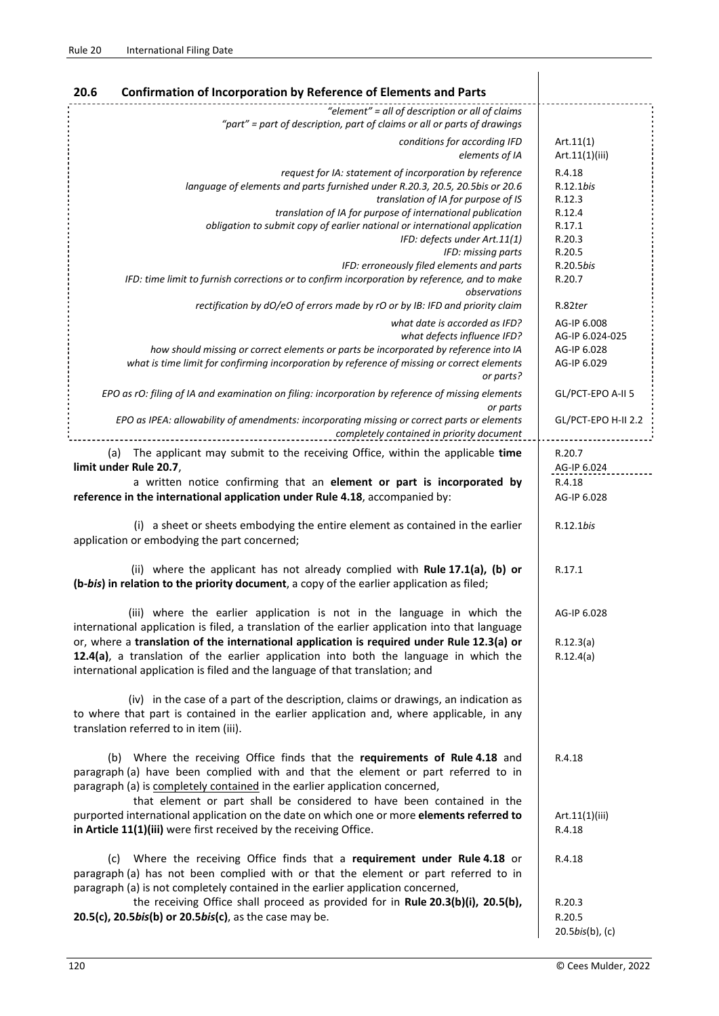| <b>Confirmation of Incorporation by Reference of Elements and Parts</b><br>20.6                                                                                                                                                                                                                                                                                                                                                                                                                                               |                                                                                              |
|-------------------------------------------------------------------------------------------------------------------------------------------------------------------------------------------------------------------------------------------------------------------------------------------------------------------------------------------------------------------------------------------------------------------------------------------------------------------------------------------------------------------------------|----------------------------------------------------------------------------------------------|
| "element" = all of description or all of claims<br>"part" = part of description, part of claims or all or parts of drawings                                                                                                                                                                                                                                                                                                                                                                                                   |                                                                                              |
| conditions for according IFD<br>elements of IA                                                                                                                                                                                                                                                                                                                                                                                                                                                                                | Art.11(1)<br>Art.11(1)(iii)                                                                  |
| request for IA: statement of incorporation by reference<br>language of elements and parts furnished under R.20.3, 20.5, 20.5bis or 20.6<br>translation of IA for purpose of IS<br>translation of IA for purpose of international publication<br>obligation to submit copy of earlier national or international application<br>IFD: defects under Art.11(1)<br>IFD: missing parts<br>IFD: erroneously filed elements and parts<br>IFD: time limit to furnish corrections or to confirm incorporation by reference, and to make | R.4.18<br>R.12.1bis<br>R.12.3<br>R.12.4<br>R.17.1<br>R.20.3<br>R.20.5<br>R.20.5bis<br>R.20.7 |
| observations<br>rectification by dO/eO of errors made by rO or by IB: IFD and priority claim                                                                                                                                                                                                                                                                                                                                                                                                                                  | R.82ter                                                                                      |
| what date is accorded as IFD?<br>what defects influence IFD?<br>how should missing or correct elements or parts be incorporated by reference into IA<br>what is time limit for confirming incorporation by reference of missing or correct elements<br>or parts?                                                                                                                                                                                                                                                              | AG-IP 6.008<br>AG-IP 6.024-025<br>AG-IP 6.028<br>AG-IP 6.029                                 |
| EPO as rO: filing of IA and examination on filing: incorporation by reference of missing elements<br>or parts                                                                                                                                                                                                                                                                                                                                                                                                                 | GL/PCT-EPO A-II 5                                                                            |
| EPO as IPEA: allowability of amendments: incorporating missing or correct parts or elements<br>completely contained in priority document                                                                                                                                                                                                                                                                                                                                                                                      | GL/PCT-EPO H-II 2.2                                                                          |
| The applicant may submit to the receiving Office, within the applicable time<br>(a)<br>limit under Rule 20.7,                                                                                                                                                                                                                                                                                                                                                                                                                 | R.20.7<br>AG-IP 6.024                                                                        |
| a written notice confirming that an element or part is incorporated by<br>reference in the international application under Rule 4.18, accompanied by:                                                                                                                                                                                                                                                                                                                                                                         | R.4.18<br>AG-IP 6.028                                                                        |
| (i) a sheet or sheets embodying the entire element as contained in the earlier<br>application or embodying the part concerned;                                                                                                                                                                                                                                                                                                                                                                                                | R.12.1bis                                                                                    |
| (ii) where the applicant has not already complied with Rule 17.1(a), (b) or<br>(b-bis) in relation to the priority document, a copy of the earlier application as filed;                                                                                                                                                                                                                                                                                                                                                      | R.17.1                                                                                       |
| (iii) where the earlier application is not in the language in which the<br>international application is filed, a translation of the earlier application into that language                                                                                                                                                                                                                                                                                                                                                    | AG-IP 6.028                                                                                  |
| or, where a translation of the international application is required under Rule 12.3(a) or<br>12.4(a), a translation of the earlier application into both the language in which the<br>international application is filed and the language of that translation; and                                                                                                                                                                                                                                                           | R.12.3(a)<br>R.12.4(a)                                                                       |
| (iv) in the case of a part of the description, claims or drawings, an indication as<br>to where that part is contained in the earlier application and, where applicable, in any<br>translation referred to in item (iii).                                                                                                                                                                                                                                                                                                     |                                                                                              |
| (b) Where the receiving Office finds that the requirements of Rule 4.18 and<br>paragraph (a) have been complied with and that the element or part referred to in<br>paragraph (a) is completely contained in the earlier application concerned,<br>that element or part shall be considered to have been contained in the<br>purported international application on the date on which one or more elements referred to<br>in Article 11(1)(iii) were first received by the receiving Office.                                  | R.4.18<br>Art.11(1)(iii)<br>R.4.18                                                           |
| Where the receiving Office finds that a requirement under Rule 4.18 or<br>(C)<br>paragraph (a) has not been complied with or that the element or part referred to in<br>paragraph (a) is not completely contained in the earlier application concerned,<br>the receiving Office shall proceed as provided for in Rule 20.3(b)(i), 20.5(b),                                                                                                                                                                                    | R.4.18<br>R.20.3                                                                             |
| 20.5(c), 20.5bis(b) or 20.5bis(c), as the case may be.                                                                                                                                                                                                                                                                                                                                                                                                                                                                        | R.20.5<br>20.5bis(b), (c)                                                                    |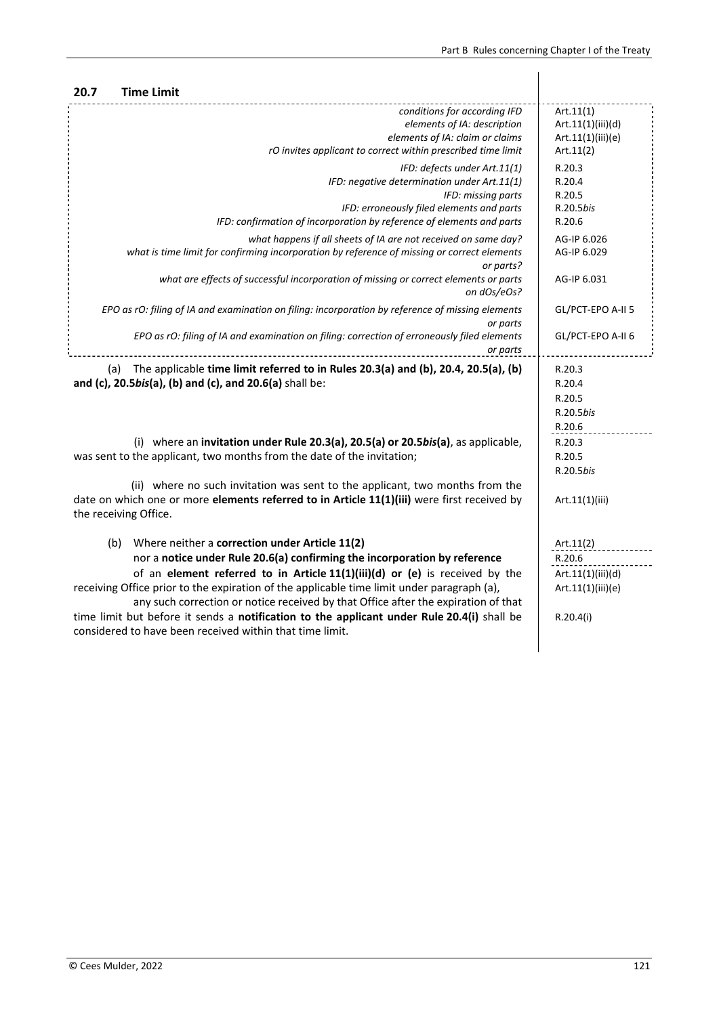| <b>Time Limit</b><br>20.7                                                                                                                                                                                                                                                                                                                                                                                                                                                                                                                                        |                                                                            |
|------------------------------------------------------------------------------------------------------------------------------------------------------------------------------------------------------------------------------------------------------------------------------------------------------------------------------------------------------------------------------------------------------------------------------------------------------------------------------------------------------------------------------------------------------------------|----------------------------------------------------------------------------|
| conditions for according IFD<br>elements of IA: description<br>elements of IA: claim or claims<br>rO invites applicant to correct within prescribed time limit                                                                                                                                                                                                                                                                                                                                                                                                   | Art.11(1)<br>Art.11(1)(iii)(d)<br>Art.11(1)(iii)(e)<br>Art.11(2)           |
| IFD: defects under Art.11(1)<br>IFD: negative determination under Art.11(1)<br>IFD: missing parts<br>IFD: erroneously filed elements and parts<br>IFD: confirmation of incorporation by reference of elements and parts                                                                                                                                                                                                                                                                                                                                          | R.20.3<br>R.20.4<br>R.20.5<br>R.20.5bis<br>R.20.6                          |
| what happens if all sheets of IA are not received on same day?<br>what is time limit for confirming incorporation by reference of missing or correct elements<br>or parts?                                                                                                                                                                                                                                                                                                                                                                                       | AG-IP 6.026<br>AG-IP 6.029                                                 |
| what are effects of successful incorporation of missing or correct elements or parts<br>on dOs/eOs?                                                                                                                                                                                                                                                                                                                                                                                                                                                              | AG-IP 6.031                                                                |
| EPO as rO: filing of IA and examination on filing: incorporation by reference of missing elements<br>or parts                                                                                                                                                                                                                                                                                                                                                                                                                                                    | GL/PCT-EPO A-II 5                                                          |
| EPO as rO: filing of IA and examination on filing: correction of erroneously filed elements<br>or parts                                                                                                                                                                                                                                                                                                                                                                                                                                                          | GL/PCT-EPO A-II 6                                                          |
| (a) The applicable time limit referred to in Rules 20.3(a) and (b), 20.4, 20.5(a), (b)<br>and (c), 20.5bis(a), (b) and (c), and 20.6(a) shall be:                                                                                                                                                                                                                                                                                                                                                                                                                | R.20.3<br>R.20.4<br>R.20.5<br>R.20.5bis<br>R.20.6                          |
| (i) where an invitation under Rule 20.3(a), 20.5(a) or 20.5bis(a), as applicable,<br>was sent to the applicant, two months from the date of the invitation;                                                                                                                                                                                                                                                                                                                                                                                                      | R.20.3<br>R.20.5<br>R.20.5bis                                              |
| (ii) where no such invitation was sent to the applicant, two months from the<br>date on which one or more elements referred to in Article 11(1)(iii) were first received by<br>the receiving Office.                                                                                                                                                                                                                                                                                                                                                             | Art.11(1)(iii)                                                             |
| Where neither a correction under Article 11(2)<br>(b)<br>nor a notice under Rule 20.6(a) confirming the incorporation by reference<br>of an element referred to in Article 11(1)(iii)(d) or (e) is received by the<br>receiving Office prior to the expiration of the applicable time limit under paragraph (a),<br>any such correction or notice received by that Office after the expiration of that<br>time limit but before it sends a notification to the applicant under Rule 20.4(i) shall be<br>considered to have been received within that time limit. | Art.11(2)<br>R.20.6<br>Art.11(1)(iii)(d)<br>Art.11(1)(iii)(e)<br>R.20.4(i) |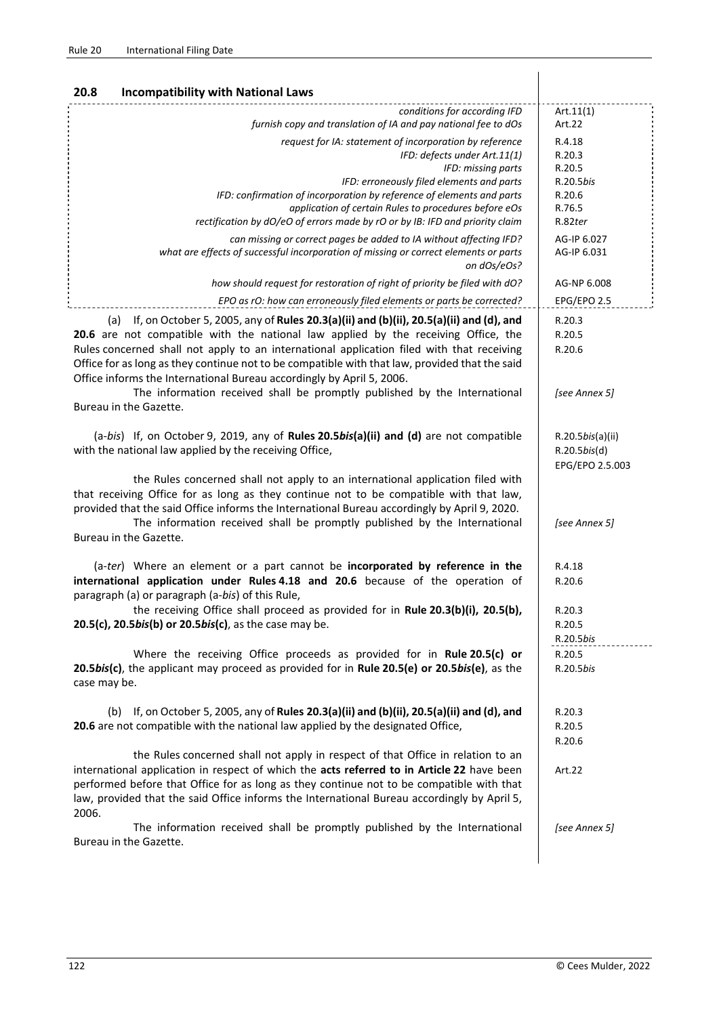| 20.8<br><b>Incompatibility with National Laws</b>                                                                                                                                                                                                                                                                                                                                                                                                           |                                                                        |
|-------------------------------------------------------------------------------------------------------------------------------------------------------------------------------------------------------------------------------------------------------------------------------------------------------------------------------------------------------------------------------------------------------------------------------------------------------------|------------------------------------------------------------------------|
| conditions for according IFD<br>furnish copy and translation of IA and pay national fee to dOs                                                                                                                                                                                                                                                                                                                                                              | Art.11(1)<br>Art.22                                                    |
| request for IA: statement of incorporation by reference<br>IFD: defects under Art.11(1)<br>IFD: missing parts<br>IFD: erroneously filed elements and parts<br>IFD: confirmation of incorporation by reference of elements and parts<br>application of certain Rules to procedures before eOs<br>rectification by dO/eO of errors made by rO or by IB: IFD and priority claim                                                                                | R.4.18<br>R.20.3<br>R.20.5<br>R.20.5bis<br>R.20.6<br>R.76.5<br>R.82ter |
| can missing or correct pages be added to IA without affecting IFD?<br>what are effects of successful incorporation of missing or correct elements or parts<br>on dOs/eOs?                                                                                                                                                                                                                                                                                   | AG-IP 6.027<br>AG-IP 6.031                                             |
| how should request for restoration of right of priority be filed with dO?                                                                                                                                                                                                                                                                                                                                                                                   | AG-NP 6.008                                                            |
| EPO as rO: how can erroneously filed elements or parts be corrected?                                                                                                                                                                                                                                                                                                                                                                                        | EPG/EPO 2.5                                                            |
| If, on October 5, 2005, any of Rules 20.3(a)(ii) and (b)(ii), 20.5(a)(ii) and (d), and<br>(a)<br>20.6 are not compatible with the national law applied by the receiving Office, the<br>Rules concerned shall not apply to an international application filed with that receiving<br>Office for as long as they continue not to be compatible with that law, provided that the said<br>Office informs the International Bureau accordingly by April 5, 2006. | R.20.3<br>R.20.5<br>R.20.6                                             |
| The information received shall be promptly published by the International<br>Bureau in the Gazette.                                                                                                                                                                                                                                                                                                                                                         | [see Annex 5]                                                          |
| $(a-bis)$ If, on October 9, 2019, any of Rules 20.5bis(a)(ii) and (d) are not compatible<br>with the national law applied by the receiving Office,                                                                                                                                                                                                                                                                                                          | R.20.5 <i>bis</i> (a)(ii)<br>R.20.5bis(d)<br>EPG/EPO 2.5.003           |
| the Rules concerned shall not apply to an international application filed with<br>that receiving Office for as long as they continue not to be compatible with that law,<br>provided that the said Office informs the International Bureau accordingly by April 9, 2020.<br>The information received shall be promptly published by the International<br>Bureau in the Gazette.                                                                             | [see Annex 5]                                                          |
| (a-ter) Where an element or a part cannot be incorporated by reference in the<br>international application under Rules 4.18 and 20.6 because of the operation of<br>paragraph (a) or paragraph (a-bis) of this Rule,<br>the receiving Office shall proceed as provided for in Rule 20.3(b)(i), 20.5(b),<br>20.5(c), 20.5bis(b) or 20.5bis(c), as the case may be.                                                                                           | R.4.18<br>R.20.6<br>R.20.3<br>R.20.5                                   |
| Where the receiving Office proceeds as provided for in Rule 20.5(c) or<br>20.5bis(c), the applicant may proceed as provided for in Rule 20.5(e) or 20.5bis(e), as the<br>case may be.                                                                                                                                                                                                                                                                       | R.20.5bis<br>R.20.5<br>R.20.5bis                                       |
| (b) If, on October 5, 2005, any of Rules 20.3(a)(ii) and (b)(ii), 20.5(a)(ii) and (d), and<br>20.6 are not compatible with the national law applied by the designated Office,                                                                                                                                                                                                                                                                               | R.20.3<br>R.20.5<br>R.20.6                                             |
| the Rules concerned shall not apply in respect of that Office in relation to an<br>international application in respect of which the acts referred to in Article 22 have been<br>performed before that Office for as long as they continue not to be compatible with that<br>law, provided that the said Office informs the International Bureau accordingly by April 5,<br>2006.                                                                           | Art.22                                                                 |
| The information received shall be promptly published by the International<br>Bureau in the Gazette.                                                                                                                                                                                                                                                                                                                                                         | [see Annex 5]                                                          |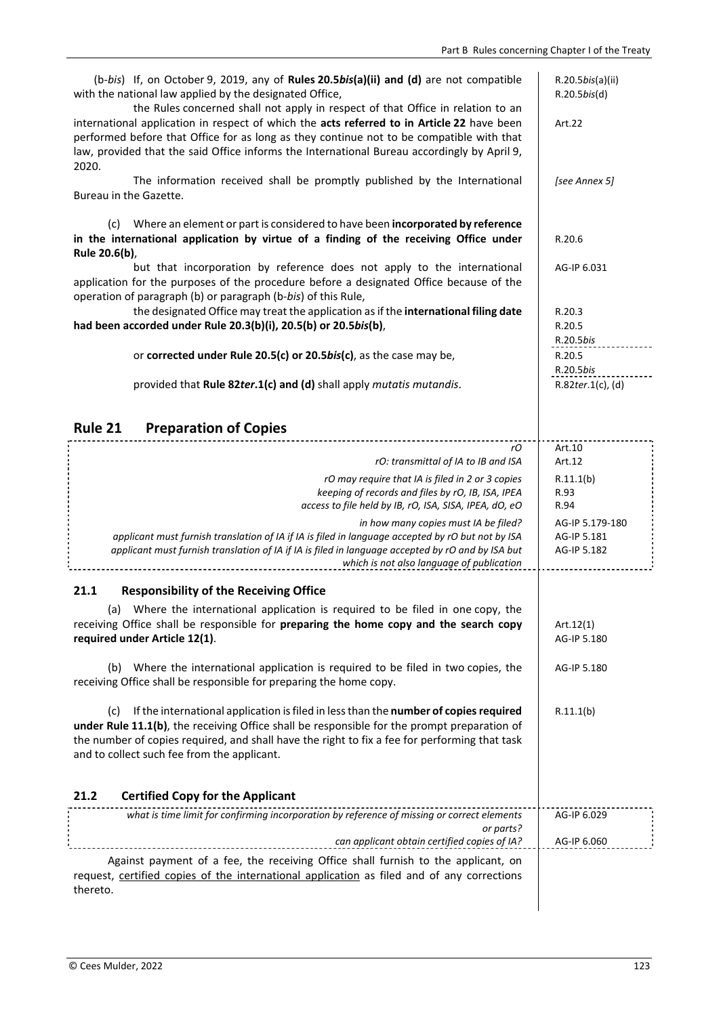| (b-bis) If, on October 9, 2019, any of Rules 20.5bis(a)(ii) and (d) are not compatible<br>with the national law applied by the designated Office,<br>the Rules concerned shall not apply in respect of that Office in relation to an<br>international application in respect of which the acts referred to in Article 22 have been         | R.20.5bis(a)(ii)<br>$R.20.5$ bis(d)<br>Art.22 |
|--------------------------------------------------------------------------------------------------------------------------------------------------------------------------------------------------------------------------------------------------------------------------------------------------------------------------------------------|-----------------------------------------------|
| performed before that Office for as long as they continue not to be compatible with that<br>law, provided that the said Office informs the International Bureau accordingly by April 9,<br>2020.<br>The information received shall be promptly published by the International                                                              | [see Annex 5]                                 |
| Bureau in the Gazette.                                                                                                                                                                                                                                                                                                                     |                                               |
| Where an element or part is considered to have been incorporated by reference<br>(c)<br>in the international application by virtue of a finding of the receiving Office under<br>Rule 20.6(b),                                                                                                                                             | R.20.6                                        |
| but that incorporation by reference does not apply to the international<br>application for the purposes of the procedure before a designated Office because of the<br>operation of paragraph (b) or paragraph (b-bis) of this Rule,                                                                                                        | AG-IP 6.031                                   |
| the designated Office may treat the application as if the international filing date<br>had been accorded under Rule 20.3(b)(i), 20.5(b) or 20.5bis(b),                                                                                                                                                                                     | R.20.3<br>R.20.5<br>R.20.5bis                 |
| or corrected under Rule 20.5(c) or 20.5bis(c), as the case may be,                                                                                                                                                                                                                                                                         | R.20.5<br>R.20.5bis                           |
| provided that Rule 82ter.1(c) and (d) shall apply mutatis mutandis.                                                                                                                                                                                                                                                                        | R.82ter.1(c), (d)                             |
| Rule 21<br><b>Preparation of Copies</b>                                                                                                                                                                                                                                                                                                    |                                               |
| rO<br>rO: transmittal of IA to IB and ISA                                                                                                                                                                                                                                                                                                  | Art.10<br>Art.12                              |
| rO may require that IA is filed in 2 or 3 copies                                                                                                                                                                                                                                                                                           | R.11.1(b)                                     |
| keeping of records and files by rO, IB, ISA, IPEA<br>access to file held by IB, rO, ISA, SISA, IPEA, dO, eO                                                                                                                                                                                                                                | R.93<br>R.94                                  |
| in how many copies must IA be filed?<br>applicant must furnish translation of IA if IA is filed in language accepted by rO but not by ISA<br>applicant must furnish translation of IA if IA is filed in language accepted by rO and by ISA but<br>which is not also language of publication                                                | AG-IP 5.179-180<br>AG-IP 5.181<br>AG-IP 5.182 |
| <b>Responsibility of the Receiving Office</b><br>21.1                                                                                                                                                                                                                                                                                      |                                               |
| (a) Where the international application is required to be filed in one copy, the<br>receiving Office shall be responsible for preparing the home copy and the search copy<br>required under Article 12(1).                                                                                                                                 | Art.12(1)<br>AG-IP 5.180                      |
| Where the international application is required to be filed in two copies, the<br>(b)<br>receiving Office shall be responsible for preparing the home copy.                                                                                                                                                                                | AG-IP 5.180                                   |
| If the international application is filed in less than the number of copies required<br>(c)<br>under Rule 11.1(b), the receiving Office shall be responsible for the prompt preparation of<br>the number of copies required, and shall have the right to fix a fee for performing that task<br>and to collect such fee from the applicant. | R.11.1(b)                                     |
| <b>Certified Copy for the Applicant</b><br>21.2                                                                                                                                                                                                                                                                                            |                                               |
| what is time limit for confirming incorporation by reference of missing or correct elements<br>or parts?                                                                                                                                                                                                                                   | AG-IP 6.029                                   |
| can applicant obtain certified copies of IA?                                                                                                                                                                                                                                                                                               | AG-IP 6.060                                   |
| Against payment of a fee, the receiving Office shall furnish to the applicant, on<br>request, certified copies of the international application as filed and of any corrections<br>thereto.                                                                                                                                                |                                               |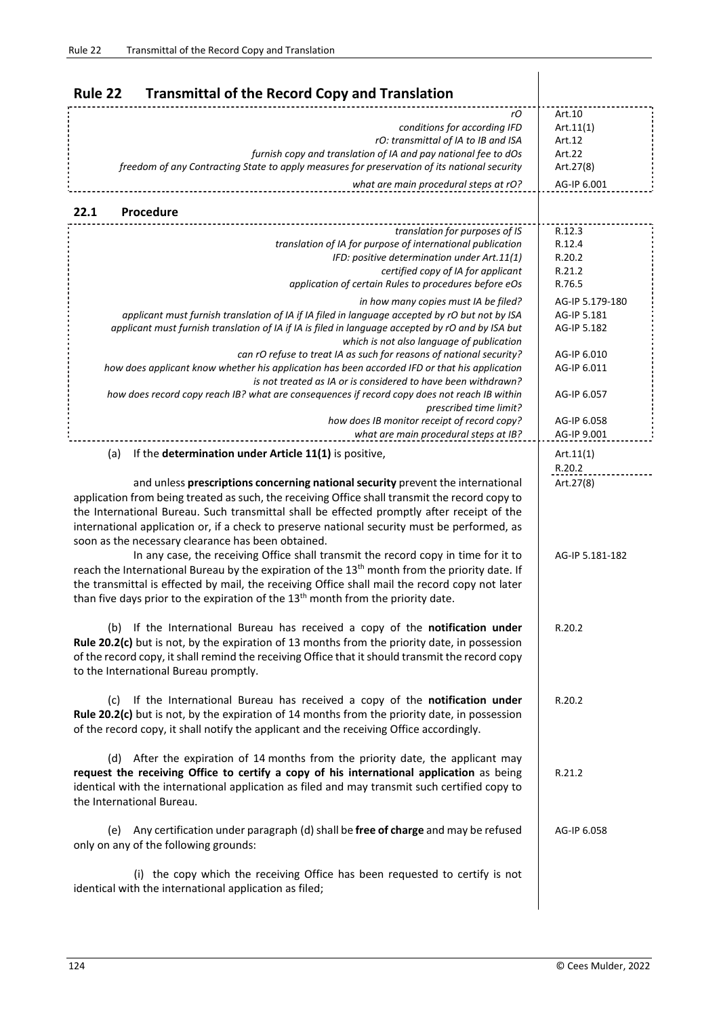| Rule 22<br><b>Transmittal of the Record Copy and Translation</b>                                                                                                                                                                                                                                                                                                                                                                                                                                      |                                                                     |
|-------------------------------------------------------------------------------------------------------------------------------------------------------------------------------------------------------------------------------------------------------------------------------------------------------------------------------------------------------------------------------------------------------------------------------------------------------------------------------------------------------|---------------------------------------------------------------------|
| rO<br>conditions for according IFD<br>rO: transmittal of IA to IB and ISA<br>furnish copy and translation of IA and pay national fee to dOs<br>freedom of any Contracting State to apply measures for preservation of its national security<br>what are main procedural steps at rO?                                                                                                                                                                                                                  | Art.10<br>Art.11(1)<br>Art.12<br>Art.22<br>Art.27(8)<br>AG-IP 6.001 |
| 22.1<br>Procedure                                                                                                                                                                                                                                                                                                                                                                                                                                                                                     |                                                                     |
| translation for purposes of IS<br>translation of IA for purpose of international publication<br>IFD: positive determination under Art.11(1)<br>certified copy of IA for applicant<br>application of certain Rules to procedures before eOs                                                                                                                                                                                                                                                            | R.12.3<br>R.12.4<br>R.20.2<br>R.21.2<br>R.76.5                      |
| in how many copies must IA be filed?<br>applicant must furnish translation of IA if IA filed in language accepted by rO but not by ISA<br>applicant must furnish translation of IA if IA is filed in language accepted by rO and by ISA but<br>which is not also language of publication<br>can rO refuse to treat IA as such for reasons of national security?                                                                                                                                       | AG-IP 5.179-180<br>AG-IP 5.181<br>AG-IP 5.182<br>AG-IP 6.010        |
| how does applicant know whether his application has been accorded IFD or that his application<br>is not treated as IA or is considered to have been withdrawn?<br>how does record copy reach IB? what are consequences if record copy does not reach IB within                                                                                                                                                                                                                                        | AG-IP 6.011<br>AG-IP 6.057                                          |
| prescribed time limit?<br>how does IB monitor receipt of record copy?<br>what are main procedural steps at IB?                                                                                                                                                                                                                                                                                                                                                                                        | AG-IP 6.058<br>AG-IP 9.001                                          |
| If the determination under Article 11(1) is positive,<br>(a)<br>and unless prescriptions concerning national security prevent the international<br>application from being treated as such, the receiving Office shall transmit the record copy to<br>the International Bureau. Such transmittal shall be effected promptly after receipt of the<br>international application or, if a check to preserve national security must be performed, as<br>soon as the necessary clearance has been obtained. | Art.11(1)<br>R.20.2<br>Art.27(8)                                    |
| In any case, the receiving Office shall transmit the record copy in time for it to<br>reach the International Bureau by the expiration of the 13 <sup>th</sup> month from the priority date. If<br>the transmittal is effected by mail, the receiving Office shall mail the record copy not later<br>than five days prior to the expiration of the 13 <sup>th</sup> month from the priority date.                                                                                                     | AG-IP 5.181-182                                                     |
| (b) If the International Bureau has received a copy of the notification under<br>Rule 20.2(c) but is not, by the expiration of 13 months from the priority date, in possession<br>of the record copy, it shall remind the receiving Office that it should transmit the record copy<br>to the International Bureau promptly.                                                                                                                                                                           | R.20.2                                                              |
| If the International Bureau has received a copy of the notification under<br>(c)<br>Rule 20.2(c) but is not, by the expiration of 14 months from the priority date, in possession<br>of the record copy, it shall notify the applicant and the receiving Office accordingly.                                                                                                                                                                                                                          | R.20.2                                                              |
| (d) After the expiration of 14 months from the priority date, the applicant may<br>request the receiving Office to certify a copy of his international application as being<br>identical with the international application as filed and may transmit such certified copy to<br>the International Bureau.                                                                                                                                                                                             | R.21.2                                                              |
| Any certification under paragraph (d) shall be free of charge and may be refused<br>(e)<br>only on any of the following grounds:                                                                                                                                                                                                                                                                                                                                                                      | AG-IP 6.058                                                         |
| (i) the copy which the receiving Office has been requested to certify is not<br>identical with the international application as filed;                                                                                                                                                                                                                                                                                                                                                                |                                                                     |